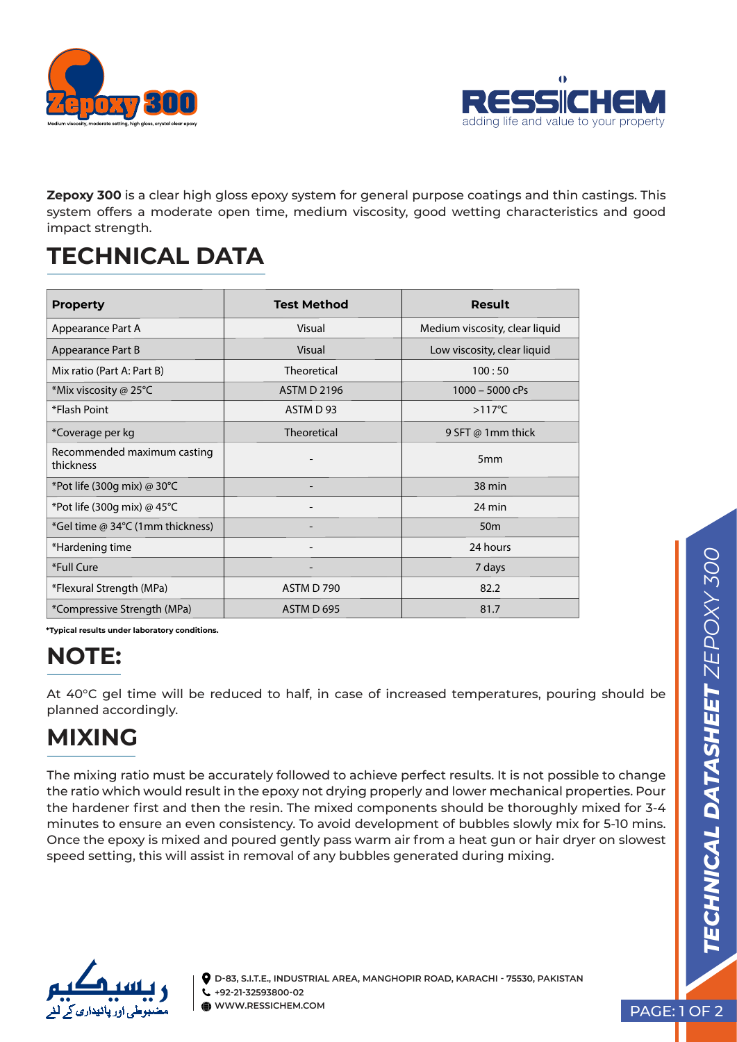



**Zepoxy 300** is a clear high gloss epoxy system for general purpose coatings and thin castings. This system offers a moderate open time, medium viscosity, good wetting characteristics and good impact strength.

### **TECHNICAL DATA**

| <b>Property</b>                          | <b>Test Method</b> | Result                         |
|------------------------------------------|--------------------|--------------------------------|
| Appearance Part A                        | Visual             | Medium viscosity, clear liquid |
| Appearance Part B                        | Visual             | Low viscosity, clear liquid    |
| Mix ratio (Part A: Part B)               | Theoretical        | 100:50                         |
| *Mix viscosity @ 25°C                    | <b>ASTM D 2196</b> | $1000 - 5000$ cPs              |
| *Flash Point                             | ASTM D 93          | $>117^{\circ}$ C               |
| *Coverage per kg                         | <b>Theoretical</b> | 9 SFT @ 1mm thick              |
| Recommended maximum casting<br>thickness |                    | 5 <sub>mm</sub>                |
| *Pot life (300g mix) @ 30°C              |                    | 38 min                         |
| *Pot life (300g mix) @ $45^{\circ}$ C    |                    | 24 min                         |
| *Gel time @ 34°C (1mm thickness)         | -                  | 50 <sub>m</sub>                |
| *Hardening time                          |                    | 24 hours                       |
| *Full Cure                               |                    | 7 days                         |
| *Flexural Strength (MPa)                 | ASTM D 790         | 82.2                           |
| *Compressive Strength (MPa)              | ASTM D 695         | 81.7                           |

**\*Typical results under laboratory conditions.** 

# **NOTE:**

At 40°C gel time will be reduced to half, in case of increased temperatures, pouring should be planned accordingly.

## **MIXING**

The mixing ratio must be accurately followed to achieve perfect results. It is not possible to change the ratio which would result in the epoxy not drying properly and lower mechanical properties. Pour the hardener first and then the resin. The mixed components should be thoroughly mixed for 3-4 minutes to ensure an even consistency. To avoid development of bubbles slowly mix for 5-10 mins. Once the epoxy is mixed and poured gently pass warm air from a heat gun or hair dryer on slowest speed setting, this will assist in removal of any bubbles generated during mixing.